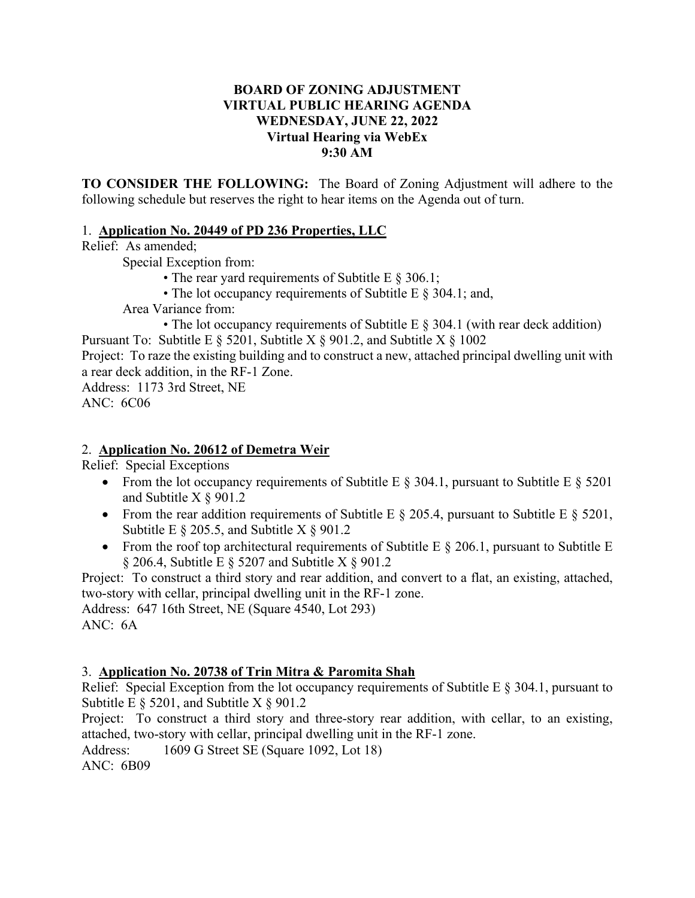#### **BOARD OF ZONING ADJUSTMENT VIRTUAL PUBLIC HEARING AGENDA WEDNESDAY, JUNE 22, 2022 Virtual Hearing via WebEx 9:30 AM**

**TO CONSIDER THE FOLLOWING:** The Board of Zoning Adjustment will adhere to the following schedule but reserves the right to hear items on the Agenda out of turn.

#### 1. **Application No. 20449 of PD 236 Properties, LLC**

Relief: As amended;

Special Exception from:

- The rear yard requirements of Subtitle E § 306.1;
- The lot occupancy requirements of Subtitle E § 304.1; and,

Area Variance from:

• The lot occupancy requirements of Subtitle E  $\S$  304.1 (with rear deck addition) Pursuant To: Subtitle E  $\S$  5201, Subtitle X  $\S$  901.2, and Subtitle X  $\S$  1002

Project: To raze the existing building and to construct a new, attached principal dwelling unit with a rear deck addition, in the RF-1 Zone.

Address: 1173 3rd Street, NE ANC: 6C06

## 2. **Application No. 20612 of Demetra Weir**

Relief: Special Exceptions

- From the lot occupancy requirements of Subtitle E  $\S$  304.1, pursuant to Subtitle E  $\S$  5201 and Subtitle X § 901.2
- From the rear addition requirements of Subtitle E  $\S$  205.4, pursuant to Subtitle E  $\S$  5201, Subtitle E  $\S$  205.5, and Subtitle X  $\S$  901.2
- From the roof top architectural requirements of Subtitle E  $\S$  206.1, pursuant to Subtitle E  $\S$  206.4, Subtitle E  $\S$  5207 and Subtitle X  $\S$  901.2

Project: To construct a third story and rear addition, and convert to a flat, an existing, attached, two-story with cellar, principal dwelling unit in the RF-1 zone.

Address: 647 16th Street, NE (Square 4540, Lot 293) ANC: 6A

## 3. **Application No. 20738 of Trin Mitra & Paromita Shah**

Relief: Special Exception from the lot occupancy requirements of Subtitle E § 304.1, pursuant to Subtitle E  $\S$  5201, and Subtitle X  $\S$  901.2

Project: To construct a third story and three-story rear addition, with cellar, to an existing, attached, two-story with cellar, principal dwelling unit in the RF-1 zone.

Address: 1609 G Street SE (Square 1092, Lot 18)

ANC: 6B09